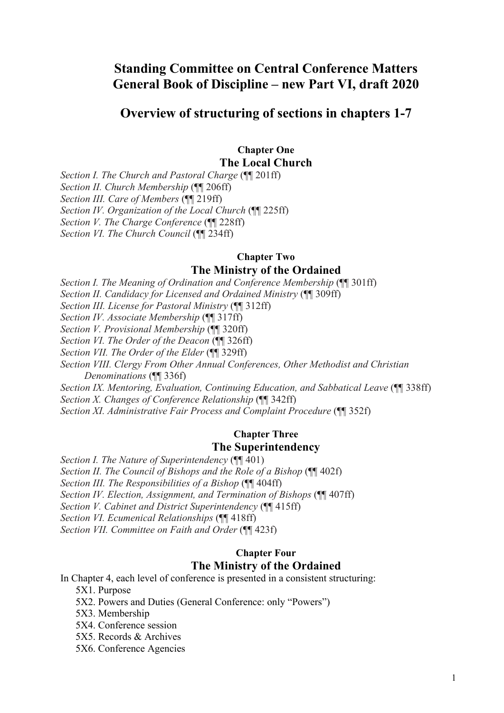## **Standing Committee on Central Conference Matters General Book of Discipline – new Part VI, draft 2020**

### **Overview of structuring of sections in chapters 1-7**

# **Chapter One**

**The Local Church**

*Section I. The Church and Pastoral Charge* (¶¶ 201ff)

*Section II. Church Membership* (¶¶ 206ff)

*Section III. Care of Members* (¶¶ 219ff)

*Section IV. Organization of the Local Church* (¶¶ 225ff)

*Section V. The Charge Conference* (¶¶ 228ff)

*Section VI. The Church Council* (¶¶ 234ff)

## **Chapter Two**

#### **The Ministry of the Ordained**

*Section I. The Meaning of Ordination and Conference Membership* (¶¶ 301ff)

*Section II. Candidacy for Licensed and Ordained Ministry* (¶¶ 309ff)

*Section III. License for Pastoral Ministry* (¶¶ 312ff)

*Section IV. Associate Membership* (¶¶ 317ff)

*Section V. Provisional Membership* (¶¶ 320ff)

*Section VI. The Order of the Deacon* (¶¶ 326ff)

*Section VII. The Order of the Elder* (¶¶ 329ff)

*Section VIII. Clergy From Other Annual Conferences, Other Methodist and Christian Denominations* (¶¶ 336f)

*Section IX. Mentoring, Evaluation, Continuing Education, and Sabbatical Leave* (¶¶ 338ff) *Section X. Changes of Conference Relationship* (¶¶ 342ff)

*Section XI. Administrative Fair Process and Complaint Procedure* (¶¶ 352f)

#### **Chapter Three The Superintendency**

*Section I. The Nature of Superintendency* ( $\P$  $\overline{4}$ 01)

*Section II. The Council of Bishops and the Role of a Bishop* (¶¶ 402f)

*Section III. The Responsibilities of a Bishop* (¶¶ 404ff)

*Section IV. Election, Assignment, and Termination of Bishops* (¶¶ 407ff)

*Section V. Cabinet and District Superintendency* (¶¶ 415ff)

*Section VI. Ecumenical Relationships* (¶¶ 418ff)

*Section VII. Committee on Faith and Order* (¶¶ 423f)

#### **Chapter Four The Ministry of the Ordained**

In Chapter 4, each level of conference is presented in a consistent structuring:

5X1. Purpose

5X2. Powers and Duties (General Conference: only "Powers")

5X3. Membership

5X4. Conference session

5X5. Records & Archives

5X6. Conference Agencies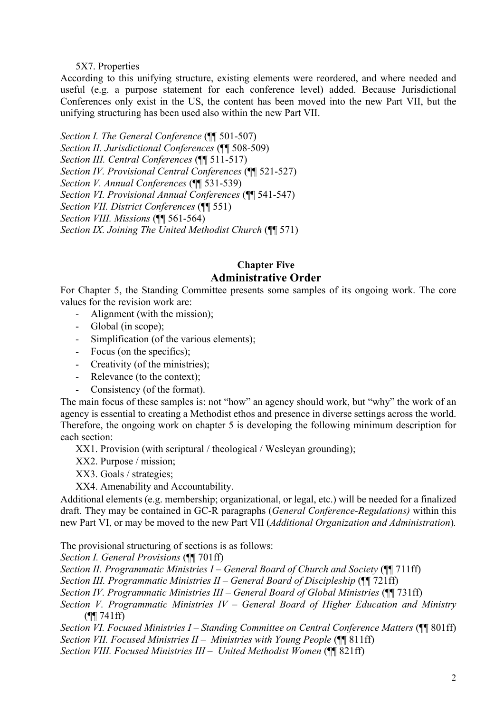#### 5X7. Properties

According to this unifying structure, existing elements were reordered, and where needed and useful (e.g. a purpose statement for each conference level) added. Because Jurisdictional Conferences only exist in the US, the content has been moved into the new Part VII, but the unifying structuring has been used also within the new Part VII.

*Section I. The General Conference* (¶¶ 501-507) *Section II. Jurisdictional Conferences* (¶¶ 508-509) *Section III. Central Conferences* (¶¶ 511-517) *Section IV. Provisional Central Conferences* (¶¶ 521-527) *Section V. Annual Conferences* (¶¶ 531-539) *Section VI. Provisional Annual Conferences* (¶¶ 541-547) *Section VII. District Conferences* (¶¶ 551) *Section VIII. Missions* (¶¶ 561-564) *Section IX. Joining The United Methodist Church* (¶¶ 571)

#### **Chapter Five Administrative Order**

For Chapter 5, the Standing Committee presents some samples of its ongoing work. The core values for the revision work are:

- Alignment (with the mission);
- Global (in scope);
- Simplification (of the various elements);
- Focus (on the specifics);
- Creativity (of the ministries);
- Relevance (to the context);
- Consistency (of the format).

The main focus of these samples is: not "how" an agency should work, but "why" the work of an agency is essential to creating a Methodist ethos and presence in diverse settings across the world. Therefore, the ongoing work on chapter 5 is developing the following minimum description for each section:

XX1. Provision (with scriptural / theological / Wesleyan grounding);

XX2. Purpose / mission;

XX3. Goals / strategies;

XX4. Amenability and Accountability.

Additional elements (e.g. membership; organizational, or legal, etc.) will be needed for a finalized draft. They may be contained in GC-R paragraphs (*General Conference-Regulations)* within this new Part VI, or may be moved to the new Part VII (*Additional Organization and Administration*)*.*

The provisional structuring of sections is as follows:

*Section I. General Provisions* (¶¶ 701ff)

*Section II. Programmatic Ministries I – General Board of Church and Society* (¶¶ 711ff)

*Section III. Programmatic Ministries II – General Board of Discipleship* (¶¶ 721ff)

*Section IV. Programmatic Ministries III – General Board of Global Ministries* (¶¶ 731ff)

*Section V. Programmatic Ministries IV – General Board of Higher Education and Ministry*  (¶¶ 741ff)

*Section VI. Focused Ministries I – Standing Committee on Central Conference Matters* (¶¶ 801ff) *Section VII. Focused Ministries II – Ministries with Young People* (¶¶ 811ff)

*Section VIII. Focused Ministries III – United Methodist Women* (¶¶ 821ff)